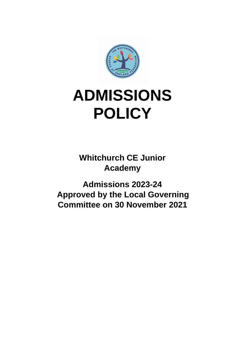

# **ADMISSIONS POLICY**

**Whitchurch CE Junior Academy** 

**Admissions 2023-24 Approved by the Local Governing Committee on 30 November 2021**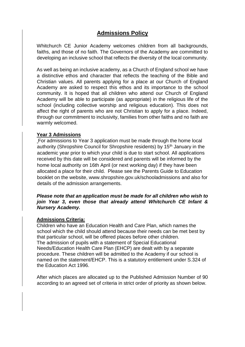## **Admissions Policy**

Whitchurch CE Junior Academy welcomes children from all backgrounds, faiths, and those of no faith. The Governors of the Academy are committed to developing an inclusive school that reflects the diversity of the local community.

As well as being an inclusive academy, as a Church of England school we have a distinctive ethos and character that reflects the teaching of the Bible and Christian values. All parents applying for a place at our Church of England Academy are asked to respect this ethos and its importance to the school community. It is hoped that all children who attend our Church of England Academy will be able to participate (as appropriate) in the religious life of the school (including collective worship and religious education). This does not affect the right of parents who are not Christian to apply for a place. Indeed, through our commitment to inclusivity, families from other faiths and no faith are warmly welcomed.

#### **Year 3 Admissions**

For admissions to Year 3 application must be made through the home local authority (Shropshire Council for Shropshire residents) by 15th January in the academic year prior to which your child is due to start school. All applications received by this date will be considered and parents will be informed by the home local authority on 16th April (or next working day) if they have been allocated a place for their child. Please see the Parents Guide to Education booklet on the website, www.shropshire.gov.uk/schooladmissions and also for details of the admission arrangements.

*Please note that an application must be made for all children who wish to join Year 3, even those that already attend Whitchurch CE Infant & Nursery Academy.*

#### **Admissions Criteria:**

Children who have an Education Health and Care Plan, which names the school which the child should attend because their needs can be met best by that particular school, will be offered places before other children. The admission of pupils with a statement of Special Educational Needs/Education Health Care Plan (EHCP) are dealt with by a separate procedure. These children will be admitted to the Academy if our school is named on the statement/EHCP. This is a statutory entitlement under S.324 of the Education Act 1996.

After which places are allocated up to the Published Admission Number of 90 according to an agreed set of criteria in strict order of priority as shown below.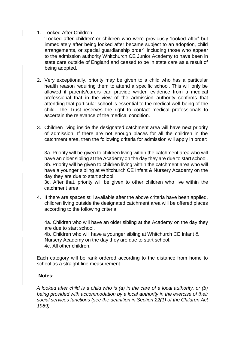### 1. Looked After Children

'Looked after children' or children who were previously 'looked after' but immediately after being looked after became subject to an adoption, child arrangements, or special guardianship order<sup>1</sup> including those who appear to the admission authority Whitchurch CE Junior Academy to have been in state care outside of England and ceased to be in state care as a result of being adopted.

- 2. Very exceptionally, priority may be given to a child who has a particular health reason requiring them to attend a specific school. This will only be allowed if parents/carers can provide written evidence from a medical professional that in the view of the admission authority confirms that attending that particular school is essential to the medical well-being of the child. The Trust reserves the right to contact medical professionals to ascertain the relevance of the medical condition.
- 3. Children living inside the designated catchment area will have next priority of admission. If there are not enough places for all the children in the catchment area, then the following criteria for admission will apply in order:

3a. Priority will be given to children living within the catchment area who will have an older sibling at the Academy on the day they are due to start school. 3b. Priority will be given to children living within the catchment area who will have a younger sibling at Whitchurch CE Infant & Nursery Academy on the day they are due to start school.

3c. After that, priority will be given to other children who live within the catchment area.

4. If there are spaces still available after the above criteria have been applied, children living outside the designated catchment area will be offered places according to the following criteria:

4a. Children who will have an older sibling at the Academy on the day they are due to start school.

4b. Children who will have a younger sibling at Whitchurch CE Infant & Nursery Academy on the day they are due to start school. 4c. All other children.

Each category will be rank ordered according to the distance from home to school as a straight line measurement.

#### **Notes:**

*A looked after child is a child who is (a) in the care of a local authority, or (b) being provided with accommodation by a local authority in the exercise of their social services functions (see the definition in Section 22(1) of the Children Act 1989).*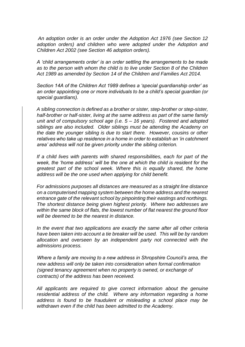*An adoption order is an order under the Adoption Act 1976 (see Section 12 adoption orders) and children who were adopted under the Adoption and Children Act 2002 (see Section 46 adoption orders).*

*A 'child arrangements order' is an order settling the arrangements to be made as to the person with whom the child is to live under Section 8 of the Children Act 1989 as amended by Section 14 of the Children and Families Act 2014.* 

*Section 14A of the Children Act 1989 defines a 'special guardianship order' as an order appointing one or more individuals to be a child's special guardian (or special guardians).*

*A sibling connection is defined as a brother or sister, step-brother or step-sister, half-brother or half-sister, living at the same address as part of the same family unit and of compulsory school age (i.e. 5 – 16 years). Fostered and adopted siblings are also included. Older siblings must be attending the Academy on the date the younger sibling is due to start there. However, cousins or other relatives who take up residence in a home in order to establish an 'in catchment area' address will not be given priority under the sibling criterion.* 

*If a child lives with parents with shared responsibilities, each for part of the week, the 'home address' will be the one at which the child is resident for the greatest part of the school week. Where this is equally shared, the home address will be the one used when applying for child benefit.* 

*For admissions purposes all distances are measured as a straight line distance on a computerised mapping system between the home address and the nearest entrance gate of the relevant school by pinpointing their eastings and northings. The shortest distance being given highest priority. Where two addresses are within the same block of flats, the lowest number of flat nearest the ground floor will be deemed to be the nearest in distance.* 

*In the event that two applications are exactly the same after all other criteria have been taken into account a tie breaker will be used. This will be by random allocation and overseen by an independent party not connected with the admissions process.* 

*Where a family are moving to a new address in Shropshire Council's area, the new address will only be taken into consideration when formal confirmation (signed tenancy agreement when no property is owned, or exchange of contracts) of the address has been received.* 

*All applicants are required to give correct information about the genuine residential address of the child. Where any information regarding a home address is found to be fraudulent or misleading a school place may be withdrawn even if the child has been admitted to the Academy.*